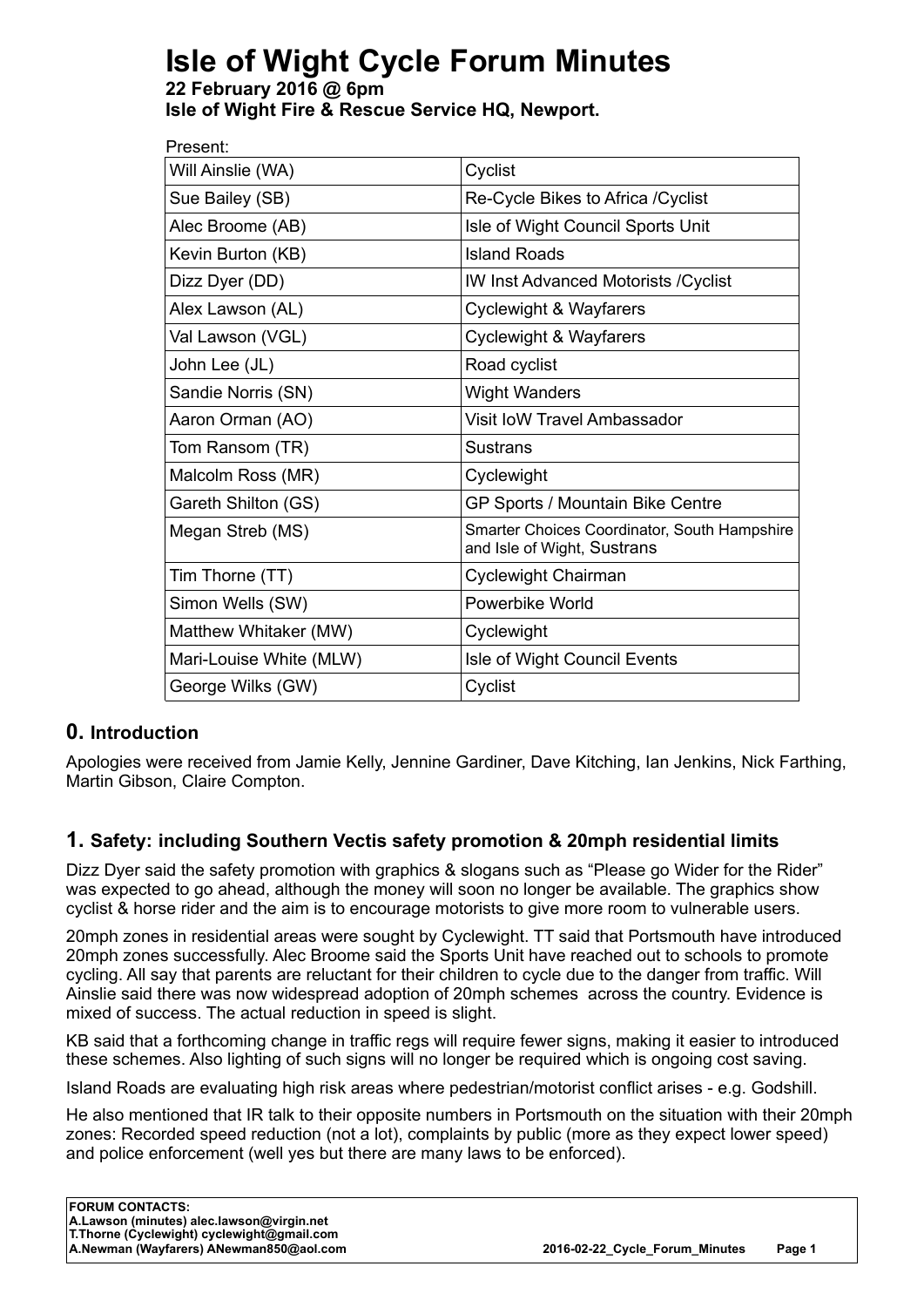# **Isle of Wight Cycle Forum Minutes**

**22 February 2016 @ 6pm Isle of Wight Fire & Rescue Service HQ, Newport.**

| Present:                |                                                                             |  |
|-------------------------|-----------------------------------------------------------------------------|--|
| Will Ainslie (WA)       | Cyclist                                                                     |  |
| Sue Bailey (SB)         | Re-Cycle Bikes to Africa / Cyclist                                          |  |
| Alec Broome (AB)        | Isle of Wight Council Sports Unit                                           |  |
| Kevin Burton (KB)       | <b>Island Roads</b>                                                         |  |
| Dizz Dyer (DD)          | <b>IW Inst Advanced Motorists / Cyclist</b>                                 |  |
| Alex Lawson (AL)        | Cyclewight & Wayfarers                                                      |  |
| Val Lawson (VGL)        | <b>Cyclewight &amp; Wayfarers</b>                                           |  |
| John Lee (JL)           | Road cyclist                                                                |  |
| Sandie Norris (SN)      | <b>Wight Wanders</b>                                                        |  |
| Aaron Orman (AO)        | Visit IoW Travel Ambassador                                                 |  |
| Tom Ransom (TR)         | <b>Sustrans</b>                                                             |  |
| Malcolm Ross (MR)       | Cyclewight                                                                  |  |
| Gareth Shilton (GS)     | GP Sports / Mountain Bike Centre                                            |  |
| Megan Streb (MS)        | Smarter Choices Coordinator, South Hampshire<br>and Isle of Wight, Sustrans |  |
| Tim Thorne (TT)         | Cyclewight Chairman                                                         |  |
| Simon Wells (SW)        | Powerbike World                                                             |  |
| Matthew Whitaker (MW)   | Cyclewight                                                                  |  |
| Mari-Louise White (MLW) | Isle of Wight Council Events                                                |  |
| George Wilks (GW)       | Cyclist                                                                     |  |

## **0. Introduction**

Apologies were received from Jamie Kelly, Jennine Gardiner, Dave Kitching, Ian Jenkins, Nick Farthing, Martin Gibson, Claire Compton.

## **1. Safety: including Southern Vectis safety promotion & 20mph residential limits**

Dizz Dyer said the safety promotion with graphics & slogans such as "Please go Wider for the Rider" was expected to go ahead, although the money will soon no longer be available. The graphics show cyclist & horse rider and the aim is to encourage motorists to give more room to vulnerable users.

20mph zones in residential areas were sought by Cyclewight. TT said that Portsmouth have introduced 20mph zones successfully. Alec Broome said the Sports Unit have reached out to schools to promote cycling. All say that parents are reluctant for their children to cycle due to the danger from traffic. Will Ainslie said there was now widespread adoption of 20mph schemes across the country. Evidence is mixed of success. The actual reduction in speed is slight.

KB said that a forthcoming change in traffic regs will require fewer signs, making it easier to introduced these schemes. Also lighting of such signs will no longer be required which is ongoing cost saving.

Island Roads are evaluating high risk areas where pedestrian/motorist conflict arises - e.g. Godshill.

He also mentioned that IR talk to their opposite numbers in Portsmouth on the situation with their 20mph zones: Recorded speed reduction (not a lot), complaints by public (more as they expect lower speed) and police enforcement (well yes but there are many laws to be enforced).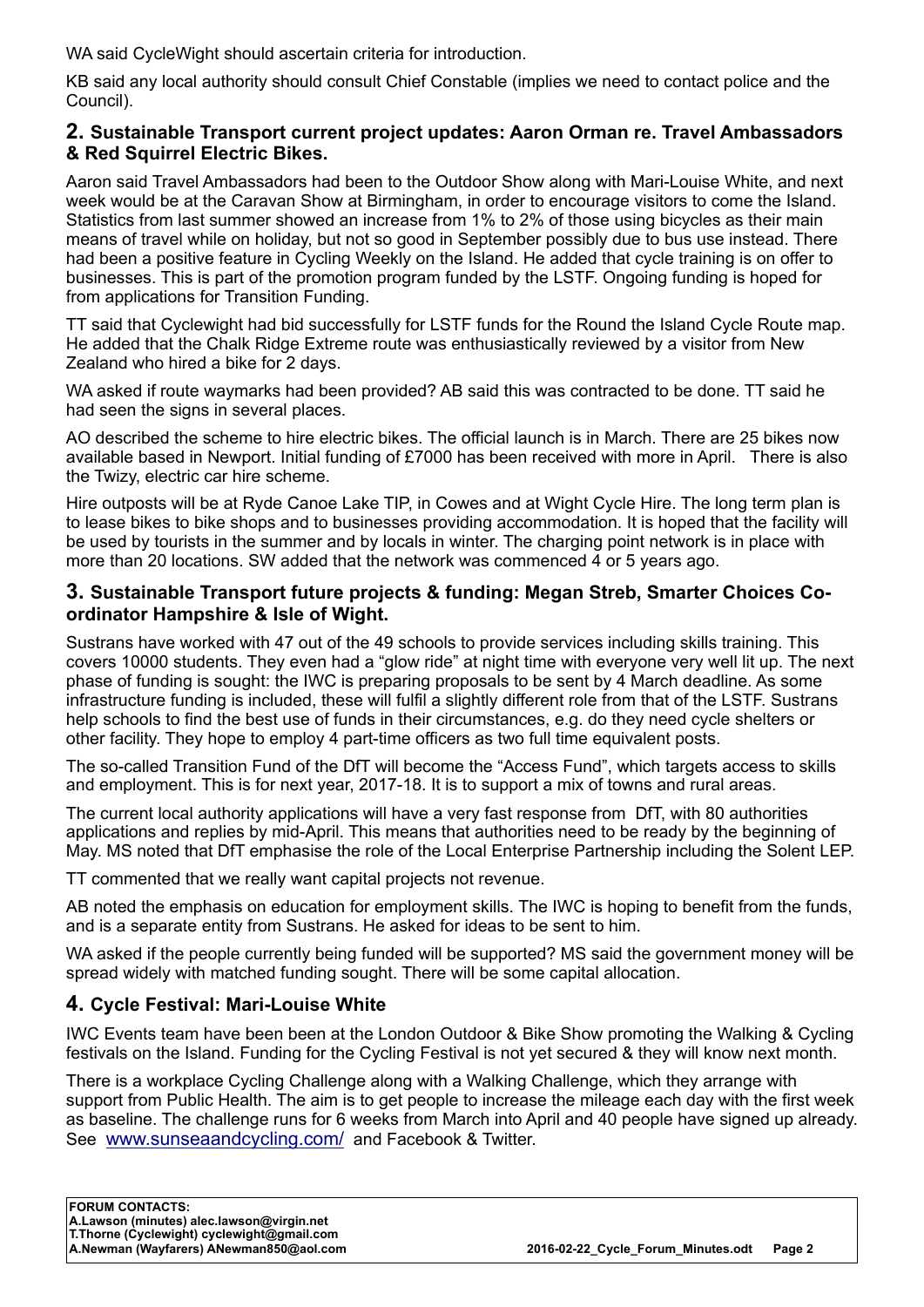WA said CycleWight should ascertain criteria for introduction.

KB said any local authority should consult Chief Constable (implies we need to contact police and the Council).

#### **2. Sustainable Transport current project updates: Aaron Orman re. Travel Ambassadors & Red Squirrel Electric Bikes.**

Aaron said Travel Ambassadors had been to the Outdoor Show along with Mari-Louise White, and next week would be at the Caravan Show at Birmingham, in order to encourage visitors to come the Island. Statistics from last summer showed an increase from 1% to 2% of those using bicycles as their main means of travel while on holiday, but not so good in September possibly due to bus use instead. There had been a positive feature in Cycling Weekly on the Island. He added that cycle training is on offer to businesses. This is part of the promotion program funded by the LSTF. Ongoing funding is hoped for from applications for Transition Funding.

TT said that Cyclewight had bid successfully for LSTF funds for the Round the Island Cycle Route map. He added that the Chalk Ridge Extreme route was enthusiastically reviewed by a visitor from New Zealand who hired a bike for 2 days.

WA asked if route waymarks had been provided? AB said this was contracted to be done. TT said he had seen the signs in several places.

AO described the scheme to hire electric bikes. The official launch is in March. There are 25 bikes now available based in Newport. Initial funding of £7000 has been received with more in April. There is also the Twizy, electric car hire scheme.

Hire outposts will be at Ryde Canoe Lake TIP, in Cowes and at Wight Cycle Hire. The long term plan is to lease bikes to bike shops and to businesses providing accommodation. It is hoped that the facility will be used by tourists in the summer and by locals in winter. The charging point network is in place with more than 20 locations. SW added that the network was commenced 4 or 5 years ago.

#### **3. Sustainable Transport future projects & funding: Megan Streb, Smarter Choices Coordinator Hampshire & Isle of Wight.**

Sustrans have worked with 47 out of the 49 schools to provide services including skills training. This covers 10000 students. They even had a "glow ride" at night time with everyone very well lit up. The next phase of funding is sought: the IWC is preparing proposals to be sent by 4 March deadline. As some infrastructure funding is included, these will fulfil a slightly different role from that of the LSTF. Sustrans help schools to find the best use of funds in their circumstances, e.g. do they need cycle shelters or other facility. They hope to employ 4 part-time officers as two full time equivalent posts.

The so-called Transition Fund of the DfT will become the "Access Fund", which targets access to skills and employment. This is for next year, 2017-18. It is to support a mix of towns and rural areas.

The current local authority applications will have a very fast response from DfT, with 80 authorities applications and replies by mid-April. This means that authorities need to be ready by the beginning of May. MS noted that DfT emphasise the role of the Local Enterprise Partnership including the Solent LEP.

TT commented that we really want capital projects not revenue.

AB noted the emphasis on education for employment skills. The IWC is hoping to benefit from the funds, and is a separate entity from Sustrans. He asked for ideas to be sent to him.

WA asked if the people currently being funded will be supported? MS said the government money will be spread widely with matched funding sought. There will be some capital allocation.

#### **4. Cycle Festival: Mari-Louise White**

IWC Events team have been been at the London Outdoor & Bike Show promoting the Walking & Cycling festivals on the Island. Funding for the Cycling Festival is not yet secured & they will know next month.

There is a workplace Cycling Challenge along with a Walking Challenge, which they arrange with support from Public Health. The aim is to get people to increase the mileage each day with the first week as baseline. The challenge runs for 6 weeks from March into April and 40 people have signed up already. See www.sunseaandcycling.com/ and Facebook & Twitter.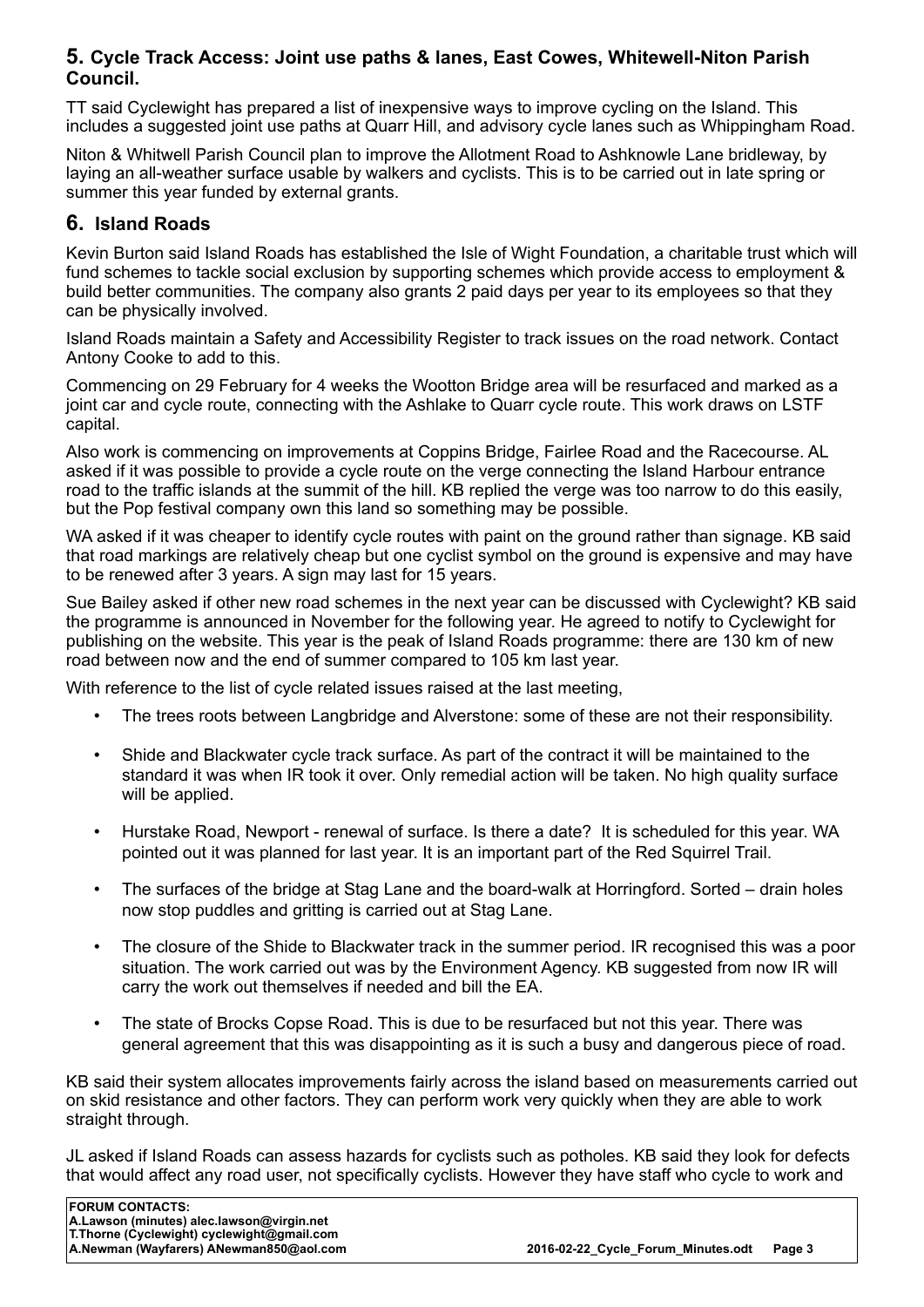#### **5. Cycle Track Access: Joint use paths & lanes, East Cowes, Whitewell-Niton Parish Council.**

TT said Cyclewight has prepared a list of inexpensive ways to improve cycling on the Island. This includes a suggested joint use paths at Quarr Hill, and advisory cycle lanes such as Whippingham Road.

Niton & Whitwell Parish Council plan to improve the Allotment Road to Ashknowle Lane bridleway, by laying an all-weather surface usable by walkers and cyclists. This is to be carried out in late spring or summer this year funded by external grants.

#### **6. Island Roads**

Kevin Burton said Island Roads has established the Isle of Wight Foundation, a charitable trust which will fund schemes to tackle social exclusion by supporting schemes which provide access to employment & build better communities. The company also grants 2 paid days per year to its employees so that they can be physically involved.

Island Roads maintain a Safety and Accessibility Register to track issues on the road network. Contact Antony Cooke to add to this.

Commencing on 29 February for 4 weeks the Wootton Bridge area will be resurfaced and marked as a joint car and cycle route, connecting with the Ashlake to Quarr cycle route. This work draws on LSTF capital.

Also work is commencing on improvements at Coppins Bridge, Fairlee Road and the Racecourse. AL asked if it was possible to provide a cycle route on the verge connecting the Island Harbour entrance road to the traffic islands at the summit of the hill. KB replied the verge was too narrow to do this easily, but the Pop festival company own this land so something may be possible.

WA asked if it was cheaper to identify cycle routes with paint on the ground rather than signage. KB said that road markings are relatively cheap but one cyclist symbol on the ground is expensive and may have to be renewed after 3 years. A sign may last for 15 years.

Sue Bailey asked if other new road schemes in the next year can be discussed with Cyclewight? KB said the programme is announced in November for the following year. He agreed to notify to Cyclewight for publishing on the website. This year is the peak of Island Roads programme: there are 130 km of new road between now and the end of summer compared to 105 km last year.

With reference to the list of cycle related issues raised at the last meeting,

- The trees roots between Langbridge and Alverstone: some of these are not their responsibility.
- Shide and Blackwater cycle track surface. As part of the contract it will be maintained to the standard it was when IR took it over. Only remedial action will be taken. No high quality surface will be applied.
- Hurstake Road, Newport renewal of surface. Is there a date? It is scheduled for this year. WA pointed out it was planned for last year. It is an important part of the Red Squirrel Trail.
- The surfaces of the bridge at Stag Lane and the board-walk at Horringford. Sorted drain holes now stop puddles and gritting is carried out at Stag Lane.
- The closure of the Shide to Blackwater track in the summer period. IR recognised this was a poor situation. The work carried out was by the Environment Agency. KB suggested from now IR will carry the work out themselves if needed and bill the EA.
- The state of Brocks Copse Road. This is due to be resurfaced but not this year. There was general agreement that this was disappointing as it is such a busy and dangerous piece of road.

KB said their system allocates improvements fairly across the island based on measurements carried out on skid resistance and other factors. They can perform work very quickly when they are able to work straight through.

JL asked if Island Roads can assess hazards for cyclists such as potholes. KB said they look for defects that would affect any road user, not specifically cyclists. However they have staff who cycle to work and